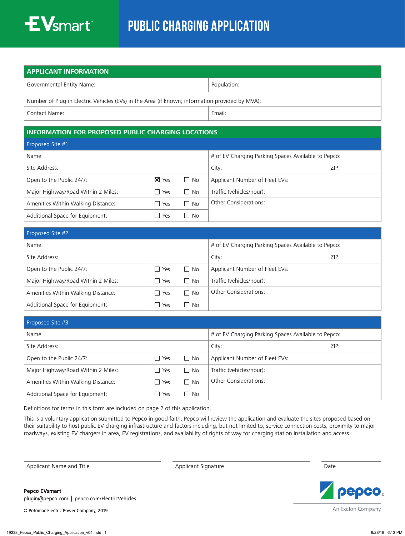

## Public CHARGING APPLICATION

| <b>APPLICANT INFORMATION</b>                                                                   |             |  |  |  |
|------------------------------------------------------------------------------------------------|-------------|--|--|--|
| Governmental Entity Name:                                                                      | Population: |  |  |  |
| Number of Plug-in Electric Vehicles (EVs) in the Area (if known; information provided by MVA): |             |  |  |  |
| Contact Name:                                                                                  | Email:      |  |  |  |

## **INFORMATION FOR PROPOSED PUBLIC CHARGING LOCATIONS**

| Proposed Site #1                   |                                 |           |                                                     |  |  |  |
|------------------------------------|---------------------------------|-----------|-----------------------------------------------------|--|--|--|
| Name:                              |                                 |           | # of EV Charging Parking Spaces Available to Pepco: |  |  |  |
| Site Address:                      |                                 | City:     | ZIP:                                                |  |  |  |
| Open to the Public 24/7:           | $X$ Yes                         | $\Box$ No | Applicant Number of Fleet EVs:                      |  |  |  |
| Major Highway/Road Within 2 Miles: | $\Box$ Yes                      | No        | Traffic (vehicles/hour):                            |  |  |  |
| Amenities Within Walking Distance: | Yes<br>$\overline{\phantom{a}}$ | $\Box$ No | <b>Other Considerations:</b>                        |  |  |  |
| Additional Space for Equipment:    | Yes<br>- 1                      | l I No    |                                                     |  |  |  |

| Proposed Site #2                   |     |            |                                                     |      |  |  |  |
|------------------------------------|-----|------------|-----------------------------------------------------|------|--|--|--|
| Name:                              |     |            | # of EV Charging Parking Spaces Available to Pepco: |      |  |  |  |
| Site Address:                      |     |            | City:                                               | ZIP: |  |  |  |
| Open to the Public 24/7:           | Yes | $\Box$ No  | Applicant Number of Fleet EVs:                      |      |  |  |  |
| Major Highway/Road Within 2 Miles: | Yes | $\vert$ No | Traffic (vehicles/hour):                            |      |  |  |  |
| Amenities Within Walking Distance: | Yes | No         | <b>Other Considerations:</b>                        |      |  |  |  |
| Additional Space for Equipment:    | Yes | No         |                                                     |      |  |  |  |

| Proposed Site #3                   |            |                                                     |                                |      |  |  |
|------------------------------------|------------|-----------------------------------------------------|--------------------------------|------|--|--|
| Name:                              |            | # of EV Charging Parking Spaces Available to Pepco: |                                |      |  |  |
| Site Address:                      |            |                                                     | City:                          | ZIP: |  |  |
| Open to the Public 24/7:           | $\Box$ Yes | $\Box$ No                                           | Applicant Number of Fleet EVs: |      |  |  |
| Major Highway/Road Within 2 Miles: | $\Box$ Yes | $\Box$ No                                           | Traffic (vehicles/hour):       |      |  |  |
| Amenities Within Walking Distance: | Yes        | $\Box$ No                                           | <b>Other Considerations:</b>   |      |  |  |
| Additional Space for Equipment:    | Yes        | <b>No</b>                                           |                                |      |  |  |

Definitions for terms in this form are included on page 2 of this application.

This is a voluntary application submitted to Pepco in good faith. Pepco will review the application and evaluate the sites proposed based on their suitability to host public EV charging infrastructure and factors including, but not limited to, service connection costs, proximity to major roadways, existing EV chargers in area, EV registrations, and availability of rights of way for charging station installation and access.

Applicant Name and Title **Applicant Signature** Applicant Signature Applicant Signature Date



**Pepco EVsmart** plugin@pepco.com | pepco.com/ElectricVehicles